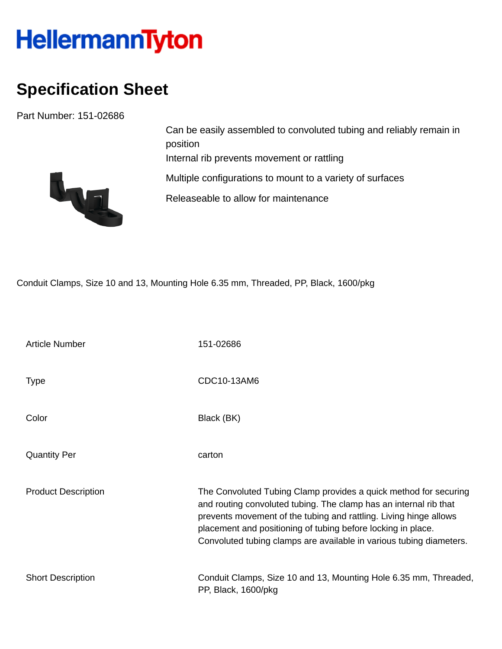## HellermannTyton

## **Specification Sheet**

Part Number: 151-02686



Can be easily assembled to convoluted tubing and reliably remain in position Internal rib prevents movement or rattling Multiple configurations to mount to a variety of surfaces Releaseable to allow for maintenance

Conduit Clamps, Size 10 and 13, Mounting Hole 6.35 mm, Threaded, PP, Black, 1600/pkg

| <b>Article Number</b>      | 151-02686                                                                                                                                                                                                                                                                                                                                         |
|----------------------------|---------------------------------------------------------------------------------------------------------------------------------------------------------------------------------------------------------------------------------------------------------------------------------------------------------------------------------------------------|
| <b>Type</b>                | CDC10-13AM6                                                                                                                                                                                                                                                                                                                                       |
| Color                      | Black (BK)                                                                                                                                                                                                                                                                                                                                        |
| <b>Quantity Per</b>        | carton                                                                                                                                                                                                                                                                                                                                            |
| <b>Product Description</b> | The Convoluted Tubing Clamp provides a quick method for securing<br>and routing convoluted tubing. The clamp has an internal rib that<br>prevents movement of the tubing and rattling. Living hinge allows<br>placement and positioning of tubing before locking in place.<br>Convoluted tubing clamps are available in various tubing diameters. |
| <b>Short Description</b>   | Conduit Clamps, Size 10 and 13, Mounting Hole 6.35 mm, Threaded,<br>PP, Black, 1600/pkg                                                                                                                                                                                                                                                           |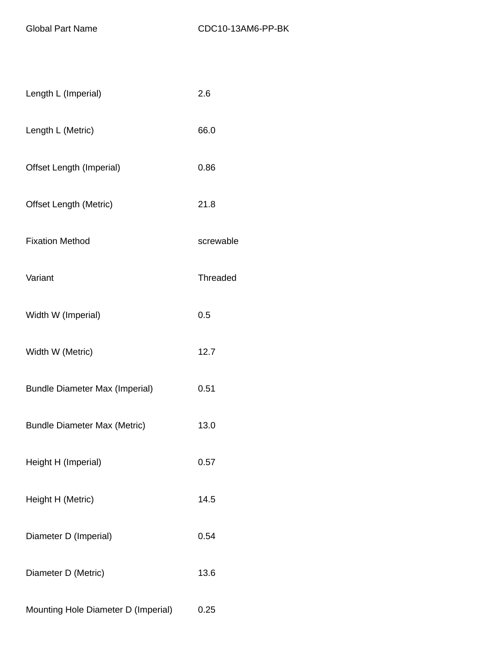| Length L (Imperial)                   | 2.6       |
|---------------------------------------|-----------|
| Length L (Metric)                     | 66.0      |
| Offset Length (Imperial)              | 0.86      |
| <b>Offset Length (Metric)</b>         | 21.8      |
| <b>Fixation Method</b>                | screwable |
| Variant                               | Threaded  |
| Width W (Imperial)                    | 0.5       |
| Width W (Metric)                      | 12.7      |
| <b>Bundle Diameter Max (Imperial)</b> | 0.51      |
| <b>Bundle Diameter Max (Metric)</b>   | 13.0      |
| Height H (Imperial)                   | 0.57      |
| Height H (Metric)                     | 14.5      |
| Diameter D (Imperial)                 | 0.54      |
| Diameter D (Metric)                   | 13.6      |
| Mounting Hole Diameter D (Imperial)   | 0.25      |